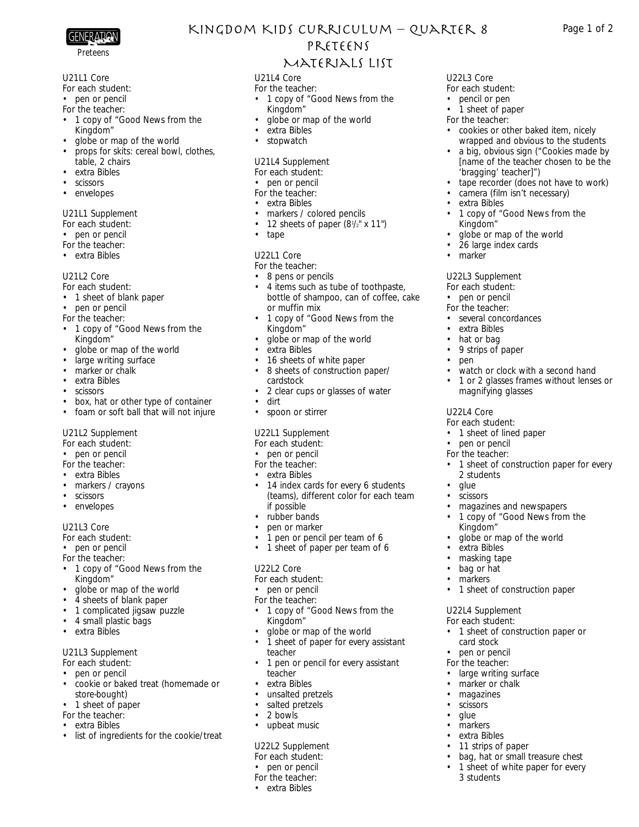

#### Preteens

### U21L1 Core

*For each student:*

• pen or pencil

- *For the teacher:*
- 1 copy of "Good News from the Kingdom"
- globe or map of the world
- props for skits: cereal bowl, clothes, table, 2 chairs
- extra Bibles
- scissors
- envelopes

#### U21L1 Supplement

- *For each student:*
- pen or pencil
- *For the teacher:*
- extra Bibles

#### U21L2 Core

*For each student:*

• 1 sheet of blank paper

• pen or pencil

*For the teacher:*

- 1 copy of "Good News from the Kingdom"
- globe or map of the world
- large writing surface
- marker or chalk
- extra Bibles
- **scissors**
- box, hat or other type of container
- foam or soft ball that will not injure

#### U21L2 Supplement

- *For each student:*
- pen or pencil
- *For the teacher:*
- extra Bibles
- markers / crayons
- **scissors**
- envelopes

#### U21L3 Core

*For each student:*

• pen or pencil

*For the teacher:* 

- 1 copy of "Good News from the Kingdom"
- globe or map of the world
- 4 sheets of blank paper
- 1 complicated jigsaw puzzle
- 4 small plastic bags
- extra Bibles

### U21L3 Supplement

- *For each student:*
- pen or pencil
- cookie or baked treat (homemade or store-bought)
- 1 sheet of paper
- *For the teacher:*
- extra Bibles
- list of ingredients for the cookie/treat

## KINGDOM KIDS CURRICULUM – QUARTER 8 Page 1 of 2

# Preteens

# Materials List

U22L3 Core *For each student:* • pencil or pen • 1 sheet of paper *For the teacher:*

• cookies or other baked item, nicely wrapped and obvious to the students • a big, obvious sign ("Cookies made by [name of the teacher chosen to be the

• tape recorder (does not have to work)

1 copy of "Good News from the

watch or clock with a second hand • 1 or 2 glasses frames without lenses or

• 1 sheet of construction paper for every

• magazines and newspapers 1 copy of "Good News from the

• 1 sheet of construction paper

• 1 sheet of construction paper or

• bag, hat or small treasure chest • 1 sheet of white paper for every

• globe or map of the world

'bragging' teacher]")

• extra Bibles

Kingdom"

U22L3 Supplement *For each student:* • pen or pencil *For the teacher:* • several concordances • extra Bibles • hat or bag • 9 strips of paper

magnifying glasses

• marker

• pen

U22L4 Core *For each student:* • 1 sheet of lined paper • pen or pencil *For the teacher:*

> 2 students • glue **scissors**

Kingdom"

• extra Bibles • masking tape • bag or hat • markers

U22L4 Supplement *For each student:*

card stock • pen or pencil *For the teacher:* • large writing surface marker or chalk • magazines • scissors • glue • markers • extra Bibles • 11 strips of paper

3 students

• camera (film isn't necessary)

• globe or map of the world 26 large index cards

#### U21L4 Core

- *For the teacher:*
- 1 copy of "Good News from the Kingdom"
- globe or map of the world
- extra Bibles
- stopwatch

#### U21L4 Supplement

- *For each student:*
- pen or pencil
- *For the teacher:*
- extra Bibles
	- markers / colored pencils
	- 12 sheets of paper  $(8\frac{1}{2}$ " x 11")
- tape

#### U22L1 Core

- *For the teacher:*
- 8 pens or pencils
- 4 items such as tube of toothpaste, bottle of shampoo, can of coffee, cake or muffin mix
- 1 copy of "Good News from the Kingdom"
- globe or map of the world
- extra Bibles
- 16 sheets of white paper
- 8 sheets of construction paper/ cardstock
- 2 clear cups or glasses of water
- dirt
- spoon or stirrer

#### U22L1 Supplement

- *For each student:*
- pen or pencil
- *For the teacher:*
- extra Bibles
- 14 index cards for every 6 students (teams), different color for each team if possible
- rubber bands
- pen or marker
- 1 pen or pencil per team of 6
- 1 sheet of paper per team of 6

#### U22L2 Core

- *For each student:*
- pen or pencil
- *For the teacher:*

teacher

teacher • extra Bibles • unsalted pretzels • salted pretzels • 2 bowls • upbeat music

U22L2 Supplement *For each student:* • pen or pencil *For the teacher:* • extra Bibles

• 1 copy of "Good News from the Kingdom" • globe or map of the world

1 sheet of paper for every assistant

1 pen or pencil for every assistant